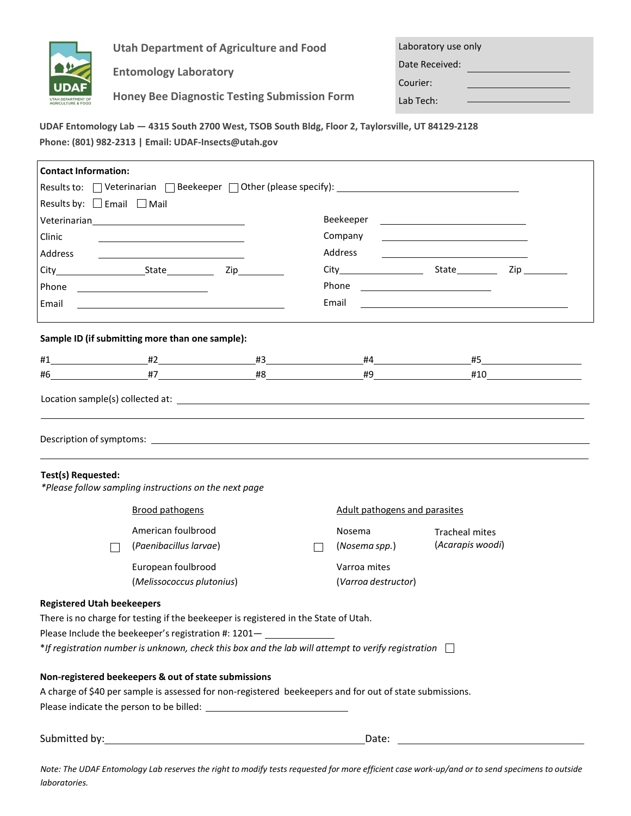

**Utah Department of Agriculture and Food**

**Entomology Laboratory**

| Laboratory use only |  |  |  |  |  |
|---------------------|--|--|--|--|--|
| Date Received:      |  |  |  |  |  |
| Courier:            |  |  |  |  |  |
| Lab Tech:           |  |  |  |  |  |

**Honey Bee Diagnostic Testing Submission Form**

**UDAF Entomology Lab — 4315 South 2700 West, TSOB South Bldg, Floor 2, Taylorsville, UT 84129-2128 Phone: (801) 982-2313 | Email: [UDAF-Insects@utah.gov](mailto:UDAF-Insects@utah.gov)**

| <b>Contact Information:</b>                                                                                                            |                                                                                                                       |                                                                                                                                                                                                                                                                                                                                                                     |                                       |               |                                                                                           |  |  |  |  |
|----------------------------------------------------------------------------------------------------------------------------------------|-----------------------------------------------------------------------------------------------------------------------|---------------------------------------------------------------------------------------------------------------------------------------------------------------------------------------------------------------------------------------------------------------------------------------------------------------------------------------------------------------------|---------------------------------------|---------------|-------------------------------------------------------------------------------------------|--|--|--|--|
| Results to: □ Veterinarian □ Beekeeper □ Other (please specify): Nessults to: □ Veterinarian □ Beekeeper □ Other (please specify):     |                                                                                                                       |                                                                                                                                                                                                                                                                                                                                                                     |                                       |               |                                                                                           |  |  |  |  |
| Results by: $\Box$ Email $\Box$ Mail                                                                                                   |                                                                                                                       |                                                                                                                                                                                                                                                                                                                                                                     |                                       |               |                                                                                           |  |  |  |  |
|                                                                                                                                        |                                                                                                                       |                                                                                                                                                                                                                                                                                                                                                                     |                                       |               |                                                                                           |  |  |  |  |
| Clinic                                                                                                                                 |                                                                                                                       |                                                                                                                                                                                                                                                                                                                                                                     |                                       | Company       | the control of the control of the control of the control of the control of the control of |  |  |  |  |
| Address                                                                                                                                | <u> Linda and the company of the company of the company of the company of the company of the company of the compa</u> |                                                                                                                                                                                                                                                                                                                                                                     |                                       | Address       |                                                                                           |  |  |  |  |
| City State Zip                                                                                                                         |                                                                                                                       |                                                                                                                                                                                                                                                                                                                                                                     |                                       |               |                                                                                           |  |  |  |  |
| Phone <u>_________________________</u>                                                                                                 |                                                                                                                       |                                                                                                                                                                                                                                                                                                                                                                     | Phone <u>________________________</u> |               |                                                                                           |  |  |  |  |
| Email                                                                                                                                  |                                                                                                                       | <u> 1989 - Johann Stein, mars an deutscher Stein und der Stein und der Stein und der Stein und der Stein und der</u>                                                                                                                                                                                                                                                | Email                                 |               |                                                                                           |  |  |  |  |
| Sample ID (if submitting more than one sample):                                                                                        |                                                                                                                       |                                                                                                                                                                                                                                                                                                                                                                     |                                       |               |                                                                                           |  |  |  |  |
|                                                                                                                                        |                                                                                                                       |                                                                                                                                                                                                                                                                                                                                                                     |                                       |               |                                                                                           |  |  |  |  |
|                                                                                                                                        |                                                                                                                       |                                                                                                                                                                                                                                                                                                                                                                     |                                       |               |                                                                                           |  |  |  |  |
|                                                                                                                                        |                                                                                                                       |                                                                                                                                                                                                                                                                                                                                                                     |                                       |               |                                                                                           |  |  |  |  |
| Test(s) Requested:<br>*Please follow sampling instructions on the next page<br><b>Brood pathogens</b><br>Adult pathogens and parasites |                                                                                                                       |                                                                                                                                                                                                                                                                                                                                                                     |                                       |               |                                                                                           |  |  |  |  |
|                                                                                                                                        | American foulbrood                                                                                                    |                                                                                                                                                                                                                                                                                                                                                                     |                                       | Nosema        | <b>Tracheal mites</b>                                                                     |  |  |  |  |
|                                                                                                                                        | (Paenibacillus larvae)                                                                                                |                                                                                                                                                                                                                                                                                                                                                                     |                                       | (Nosema spp.) | (Acarapis woodi)                                                                          |  |  |  |  |
|                                                                                                                                        | European foulbrood                                                                                                    |                                                                                                                                                                                                                                                                                                                                                                     |                                       | Varroa mites  |                                                                                           |  |  |  |  |
| (Melissococcus plutonius)                                                                                                              |                                                                                                                       |                                                                                                                                                                                                                                                                                                                                                                     | (Varroa destructor)                   |               |                                                                                           |  |  |  |  |
| <b>Registered Utah beekeepers</b><br>Non-registered beekeepers & out of state submissions                                              |                                                                                                                       | There is no charge for testing if the beekeeper is registered in the State of Utah.<br>Please Include the beekeeper's registration #: 1201-<br>*If registration number is unknown, check this box and the lab will attempt to verify registration $\Box$<br>A charge of \$40 per sample is assessed for non-registered beekeepers and for out of state submissions. |                                       |               |                                                                                           |  |  |  |  |
|                                                                                                                                        |                                                                                                                       |                                                                                                                                                                                                                                                                                                                                                                     |                                       |               |                                                                                           |  |  |  |  |

Note: The UDAF Entomology Lab reserves the right to modify tests requested for more efficient case work-up/and or to send specimens to outside *laboratories.*